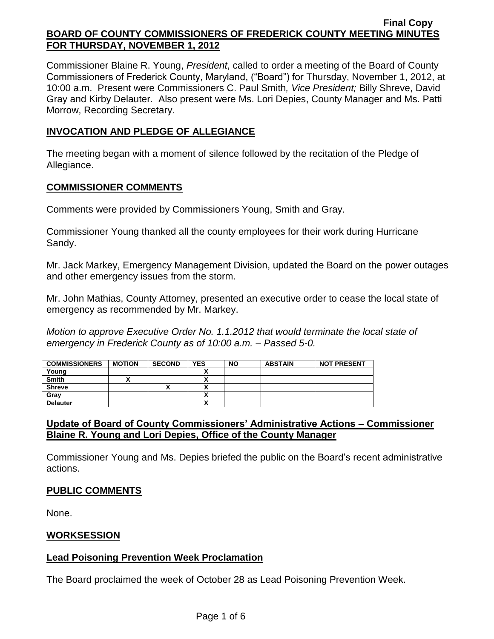Commissioner Blaine R. Young, *President*, called to order a meeting of the Board of County Commissioners of Frederick County, Maryland, ("Board") for Thursday, November 1, 2012, at 10:00 a.m. Present were Commissioners C. Paul Smith*, Vice President;* Billy Shreve, David Gray and Kirby Delauter. Also present were Ms. Lori Depies, County Manager and Ms. Patti Morrow, Recording Secretary.

### **INVOCATION AND PLEDGE OF ALLEGIANCE**

The meeting began with a moment of silence followed by the recitation of the Pledge of Allegiance.

#### **COMMISSIONER COMMENTS**

Comments were provided by Commissioners Young, Smith and Gray.

Commissioner Young thanked all the county employees for their work during Hurricane Sandy.

Mr. Jack Markey, Emergency Management Division, updated the Board on the power outages and other emergency issues from the storm.

Mr. John Mathias, County Attorney, presented an executive order to cease the local state of emergency as recommended by Mr. Markey.

*Motion to approve Executive Order No. 1.1.2012 that would terminate the local state of emergency in Frederick County as of 10:00 a.m. – Passed 5-0.*

| <b>COMMISSIONERS</b> | <b>MOTION</b> | <b>SECOND</b> | <b>YES</b> | <b>NO</b> | <b>ABSTAIN</b> | <b>NOT PRESENT</b> |
|----------------------|---------------|---------------|------------|-----------|----------------|--------------------|
| Young                |               |               |            |           |                |                    |
| <b>Smith</b>         |               |               |            |           |                |                    |
| <b>Shreve</b>        |               | Λ             |            |           |                |                    |
| Gray                 |               |               |            |           |                |                    |
| <b>Delauter</b>      |               |               |            |           |                |                    |

# **Update of Board of County Commissioners' Administrative Actions – Commissioner Blaine R. Young and Lori Depies, Office of the County Manager**

Commissioner Young and Ms. Depies briefed the public on the Board's recent administrative actions.

### **PUBLIC COMMENTS**

None.

### **WORKSESSION**

### **Lead Poisoning Prevention Week Proclamation**

The Board proclaimed the week of October 28 as Lead Poisoning Prevention Week.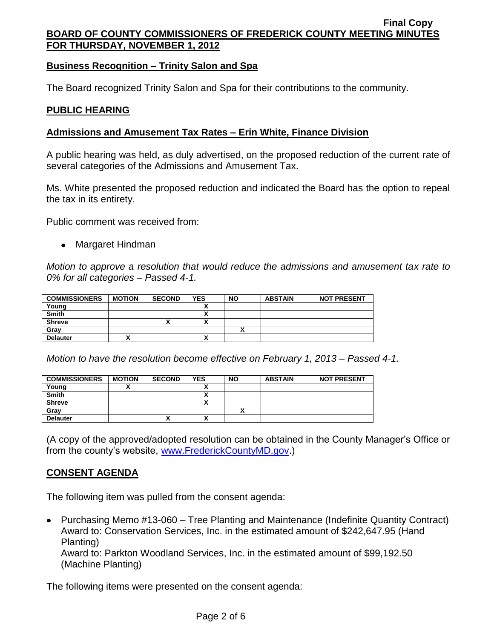# **Business Recognition – Trinity Salon and Spa**

The Board recognized Trinity Salon and Spa for their contributions to the community.

### **PUBLIC HEARING**

## **Admissions and Amusement Tax Rates – Erin White, Finance Division**

A public hearing was held, as duly advertised, on the proposed reduction of the current rate of several categories of the Admissions and Amusement Tax.

Ms. White presented the proposed reduction and indicated the Board has the option to repeal the tax in its entirety.

Public comment was received from:

• Margaret Hindman

*Motion to approve a resolution that would reduce the admissions and amusement tax rate to 0% for all categories – Passed 4-1.*

| <b>COMMISSIONERS</b> | <b>MOTION</b> | <b>SECOND</b> | <b>YES</b>   | <b>NO</b> | <b>ABSTAIN</b> | <b>NOT PRESENT</b> |
|----------------------|---------------|---------------|--------------|-----------|----------------|--------------------|
| Young                |               |               |              |           |                |                    |
| <b>Smith</b>         |               |               |              |           |                |                    |
| <b>Shreve</b>        |               | '             | $\mathbf{v}$ |           |                |                    |
| Gray                 |               |               |              |           |                |                    |
| <b>Delauter</b>      |               |               | v            |           |                |                    |

*Motion to have the resolution become effective on February 1, 2013 – Passed 4-1.*

| <b>COMMISSIONERS</b> | <b>MOTION</b> | <b>SECOND</b> | <b>YES</b> | <b>NO</b> | <b>ABSTAIN</b> | <b>NOT PRESENT</b> |
|----------------------|---------------|---------------|------------|-----------|----------------|--------------------|
| Young                |               |               |            |           |                |                    |
| <b>Smith</b>         |               |               |            |           |                |                    |
| <b>Shreve</b>        |               |               |            |           |                |                    |
| Gray                 |               |               |            |           |                |                    |
| <b>Delauter</b>      |               | ^             |            |           |                |                    |

(A copy of the approved/adopted resolution can be obtained in the County Manager's Office or from the county's website, [www.FrederickCountyMD.gov.](http://www.frederickcountymd.gov/))

# **CONSENT AGENDA**

The following item was pulled from the consent agenda:

• Purchasing Memo #13-060 – Tree Planting and Maintenance (Indefinite Quantity Contract) Award to: Conservation Services, Inc. in the estimated amount of \$242,647.95 (Hand Planting)

Award to: Parkton Woodland Services, Inc. in the estimated amount of \$99,192.50 (Machine Planting)

The following items were presented on the consent agenda: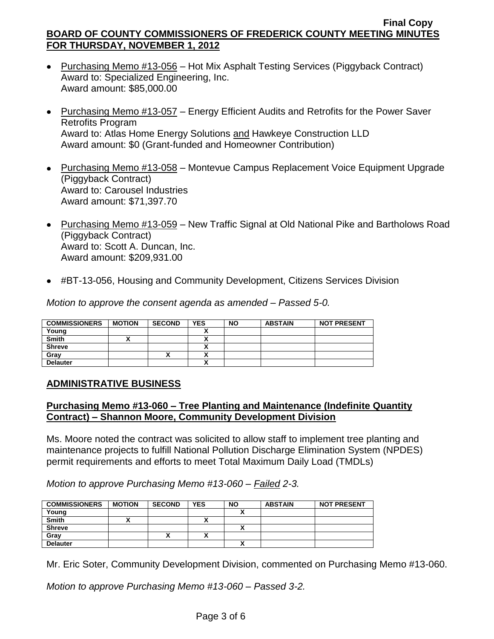- Purchasing Memo #13-056 Hot Mix Asphalt Testing Services (Piggyback Contract) Award to: Specialized Engineering, Inc. Award amount: \$85,000.00
- Purchasing Memo #13-057 Energy Efficient Audits and Retrofits for the Power Saver Retrofits Program Award to: Atlas Home Energy Solutions and Hawkeye Construction LLD Award amount: \$0 (Grant-funded and Homeowner Contribution)
- Purchasing Memo #13-058 Montevue Campus Replacement Voice Equipment Upgrade (Piggyback Contract) Award to: Carousel Industries Award amount: \$71,397.70
- Purchasing Memo #13-059 New Traffic Signal at Old National Pike and Bartholows Road (Piggyback Contract) Award to: Scott A. Duncan, Inc. Award amount: \$209,931.00
- #BT-13-056, Housing and Community Development, Citizens Services Division

*Motion to approve the consent agenda as amended – Passed 5-0.*

| <b>COMMISSIONERS</b> | <b>MOTION</b> | <b>SECOND</b> | <b>YES</b> | <b>NO</b> | <b>ABSTAIN</b> | <b>NOT PRESENT</b> |
|----------------------|---------------|---------------|------------|-----------|----------------|--------------------|
| Young                |               |               |            |           |                |                    |
| <b>Smith</b>         |               |               | ↗          |           |                |                    |
| <b>Shreve</b>        |               |               | ↗          |           |                |                    |
| Grav                 |               |               | ^          |           |                |                    |
| <b>Delauter</b>      |               |               | ~          |           |                |                    |

### **ADMINISTRATIVE BUSINESS**

### **Purchasing Memo #13-060 – Tree Planting and Maintenance (Indefinite Quantity Contract) – Shannon Moore, Community Development Division**

Ms. Moore noted the contract was solicited to allow staff to implement tree planting and maintenance projects to fulfill National Pollution Discharge Elimination System (NPDES) permit requirements and efforts to meet Total Maximum Daily Load (TMDLs)

*Motion to approve Purchasing Memo #13-060 – Failed 2-3.*

| <b>COMMISSIONERS</b> | <b>MOTION</b> | <b>SECOND</b> | <b>YES</b> | <b>NO</b> | <b>ABSTAIN</b> | <b>NOT PRESENT</b> |
|----------------------|---------------|---------------|------------|-----------|----------------|--------------------|
| Young                |               |               |            |           |                |                    |
| <b>Smith</b>         |               |               |            |           |                |                    |
| <b>Shreve</b>        |               |               |            |           |                |                    |
| Gray                 |               |               |            |           |                |                    |
| <b>Delauter</b>      |               |               |            |           |                |                    |

Mr. Eric Soter, Community Development Division, commented on Purchasing Memo #13-060.

*Motion to approve Purchasing Memo #13-060 – Passed 3-2.*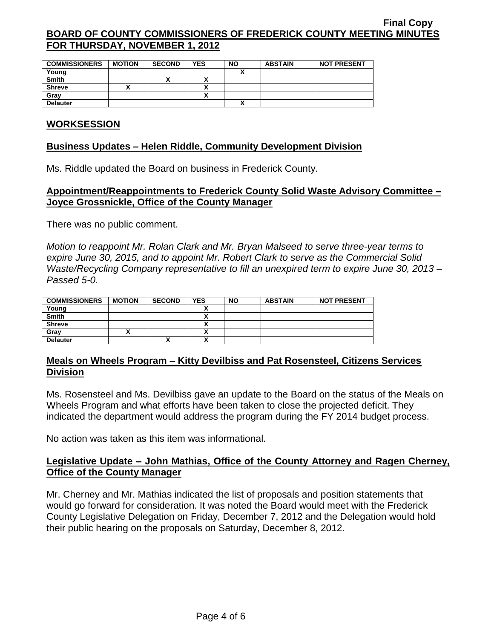| <b>COMMISSIONERS</b> | <b>MOTION</b> | <b>SECOND</b> | <b>YES</b> | <b>NO</b> | <b>ABSTAIN</b> | <b>NOT PRESENT</b> |
|----------------------|---------------|---------------|------------|-----------|----------------|--------------------|
| Young                |               |               |            | ~         |                |                    |
| <b>Smith</b>         |               | Λ             | ~          |           |                |                    |
| <b>Shreve</b>        |               |               |            |           |                |                    |
| Gray                 |               |               |            |           |                |                    |
| <b>Delauter</b>      |               |               |            |           |                |                    |

#### **WORKSESSION**

#### **Business Updates – Helen Riddle, Community Development Division**

Ms. Riddle updated the Board on business in Frederick County.

### **Appointment/Reappointments to Frederick County Solid Waste Advisory Committee – Joyce Grossnickle, Office of the County Manager**

There was no public comment.

*Motion to reappoint Mr. Rolan Clark and Mr. Bryan Malseed to serve three-year terms to expire June 30, 2015, and to appoint Mr. Robert Clark to serve as the Commercial Solid Waste/Recycling Company representative to fill an unexpired term to expire June 30, 2013 – Passed 5-0.*

| <b>COMMISSIONERS</b> | <b>MOTION</b> | <b>SECOND</b> | <b>YES</b>                | <b>NO</b> | <b>ABSTAIN</b> | <b>NOT PRESENT</b> |
|----------------------|---------------|---------------|---------------------------|-----------|----------------|--------------------|
| Young                |               |               |                           |           |                |                    |
| <b>Smith</b>         |               |               |                           |           |                |                    |
| <b>Shreve</b>        |               |               |                           |           |                |                    |
| Grav                 |               |               | Λ                         |           |                |                    |
| <b>Delauter</b>      |               | $\mathbf{v}$  | $\ddot{\phantom{1}}$<br>^ |           |                |                    |

### **Meals on Wheels Program – Kitty Devilbiss and Pat Rosensteel, Citizens Services Division**

Ms. Rosensteel and Ms. Devilbiss gave an update to the Board on the status of the Meals on Wheels Program and what efforts have been taken to close the projected deficit. They indicated the department would address the program during the FY 2014 budget process.

No action was taken as this item was informational.

# **Legislative Update – John Mathias, Office of the County Attorney and Ragen Cherney, Office of the County Manager**

Mr. Cherney and Mr. Mathias indicated the list of proposals and position statements that would go forward for consideration. It was noted the Board would meet with the Frederick County Legislative Delegation on Friday, December 7, 2012 and the Delegation would hold their public hearing on the proposals on Saturday, December 8, 2012.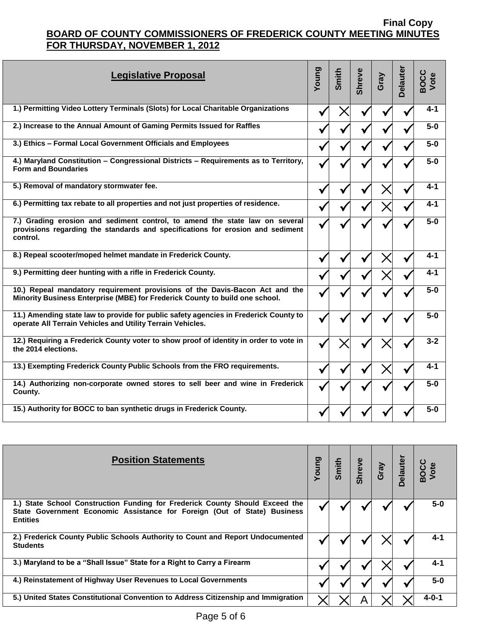| <b>Legislative Proposal</b>                                                                                                                                               | Young | Smith | <b>Shreve</b> | Gray | <b>Delauter</b> | BOCC<br>Vote |
|---------------------------------------------------------------------------------------------------------------------------------------------------------------------------|-------|-------|---------------|------|-----------------|--------------|
| 1.) Permitting Video Lottery Terminals (Slots) for Local Charitable Organizations                                                                                         |       |       |               | V    |                 | $4 - 1$      |
| 2.) Increase to the Annual Amount of Gaming Permits Issued for Raffles                                                                                                    |       |       |               |      | M               | $5-0$        |
| 3.) Ethics - Formal Local Government Officials and Employees                                                                                                              | N     |       |               |      |                 | $5-0$        |
| 4.) Maryland Constitution - Congressional Districts - Requirements as to Territory,<br><b>Form and Boundaries</b>                                                         |       |       |               |      |                 | $5-0$        |
| 5.) Removal of mandatory stormwater fee.                                                                                                                                  |       |       |               |      |                 | $4 - 1$      |
| 6.) Permitting tax rebate to all properties and not just properties of residence.                                                                                         |       |       |               |      |                 | $4 - 1$      |
| 7.) Grading erosion and sediment control, to amend the state law on several<br>provisions regarding the standards and specifications for erosion and sediment<br>control. |       |       |               |      |                 | $5-0$        |
| 8.) Repeal scooter/moped helmet mandate in Frederick County.                                                                                                              |       |       |               |      |                 | $4 - 1$      |
| 9.) Permitting deer hunting with a rifle in Frederick County.                                                                                                             |       |       |               |      |                 | 4-1          |
| 10.) Repeal mandatory requirement provisions of the Davis-Bacon Act and the<br>Minority Business Enterprise (MBE) for Frederick County to build one school.               |       |       |               |      |                 | $5-0$        |
| 11.) Amending state law to provide for public safety agencies in Frederick County to<br>operate All Terrain Vehicles and Utility Terrain Vehicles.                        |       |       |               |      |                 | $5-0$        |
| 12.) Requiring a Frederick County voter to show proof of identity in order to vote in<br>the 2014 elections.                                                              |       |       |               |      |                 | $3 - 2$      |
| 13.) Exempting Frederick County Public Schools from the FRO requirements.                                                                                                 |       |       |               |      |                 | 4-1          |
| 14.) Authorizing non-corporate owned stores to sell beer and wine in Frederick<br>County.                                                                                 |       |       |               |      |                 | $5-0$        |
| 15.) Authority for BOCC to ban synthetic drugs in Frederick County.                                                                                                       |       |       |               |      |                 | $5-0$        |

| <b>Position Statements</b>                                                                                                                                                  | Prung | Smith | <b>Shreve</b> | Gray<br>Delauter | BOCC<br>Vote |
|-----------------------------------------------------------------------------------------------------------------------------------------------------------------------------|-------|-------|---------------|------------------|--------------|
| 1.) State School Construction Funding for Frederick County Should Exceed the<br>State Government Economic Assistance for Foreign (Out of State) Business<br><b>Entities</b> |       |       |               |                  | $5-0$        |
| 2.) Frederick County Public Schools Authority to Count and Report Undocumented<br><b>Students</b>                                                                           |       |       |               |                  | 4-1          |
| 3.) Maryland to be a "Shall Issue" State for a Right to Carry a Firearm                                                                                                     |       |       |               |                  | $4 - 1$      |
| 4.) Reinstatement of Highway User Revenues to Local Governments                                                                                                             |       |       |               |                  | $5-0$        |
| 5.) United States Constitutional Convention to Address Citizenship and Immigration                                                                                          |       |       |               |                  | $4 - 0 - 1$  |